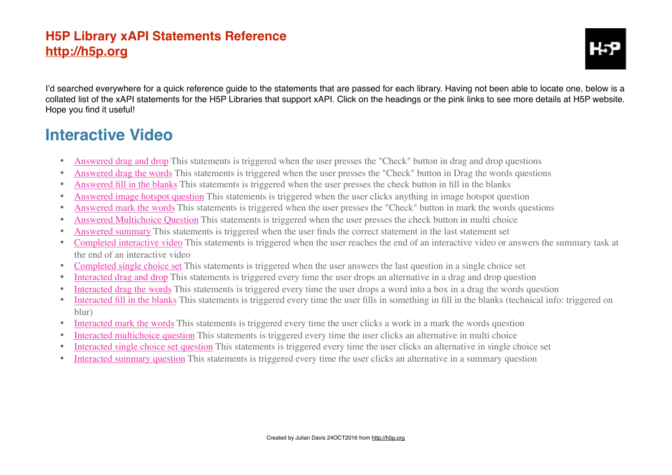I'd searched everywhere for a quick reference quide to the statements that are passed for each library. Having not been able to locate one, below is a collated list of the xAPI statements for the H5P Libraries that support xAPI. Click on the headings or the pink links to see more details at H5P website. Hope you find it useful!

#### **[Interactive Video](https://h5p.org/node/617/xapi-coverage)**

- [Answered drag and drop](https://h5p.org/node/3423) This statements is triggered when the user presses the "Check" button in drag and drop questions
- [Answered drag the words](https://h5p.org/node/3414) This statements is triggered when the user presses the "Check" button in Drag the words questions
- [Answered fill in the blanks](https://h5p.org/node/3426) This statements is triggered when the user presses the check button in fill in the blanks
- [Answered image hotspot question](https://h5p.org/node/3424) This statements is triggered when the user clicks anything in image hotspot question
- [Answered mark the words](https://h5p.org/node/3422) This statements is triggered when the user presses the "Check" button in mark the words questions
- [Answered Multichoice Question](https://h5p.org/node/3428) This statements is triggered when the user presses the check button in multi choice
- [Answered summary](https://h5p.org/node/4600) This statements is triggered when the user finds the correct statement in the last statement set
- [Completed interactive video](https://h5p.org/node/3430) This statements is triggered when the user reaches the end of an interactive video or answers the summary task at the end of an interactive video
- [Completed single choice set](https://h5p.org/node/3425) This statements is triggered when the user answers the last question in a single choice set
- [Interacted drag and drop](https://h5p.org/node/3417) This statements is triggered every time the user drops an alternative in a drag and drop question
- [Interacted drag the words](https://h5p.org/node/3410) This statements is triggered every time the user drops a word into a box in a drag the words question
- [Interacted fill in the blanks](https://h5p.org/node/3418) This statements is triggered every time the user fills in something in fill in the blanks (technical info: triggered on blur)
- [Interacted mark the words](https://h5p.org/node/3416) This statements is triggered every time the user clicks a work in a mark the words question
- [Interacted multichoice question](https://h5p.org/node/3419) This statements is triggered every time the user clicks an alternative in multi choice
- [Interacted single choice set question](https://h5p.org/node/3420) This statements is triggered every time the user clicks an alternative in single choice set
- [Interacted summary question](https://h5p.org/node/3421) This statements is triggered every time the user clicks an alternative in a summary question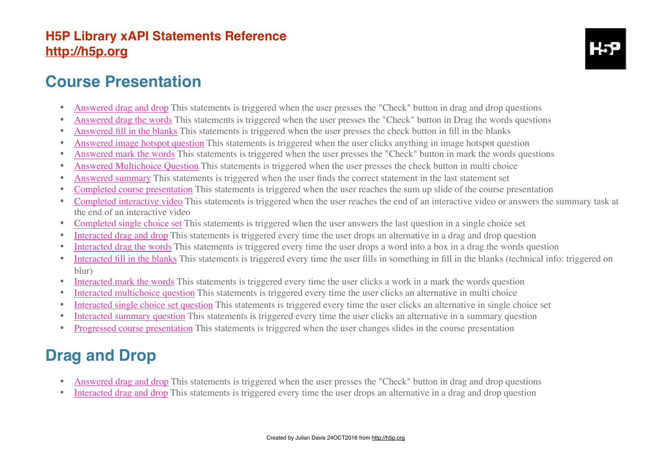

#### **[Course Presentation](https://h5p.org/node/612/xapi-coverage)**

- [Answered drag and drop](https://h5p.org/node/3423) This statements is triggered when the user presses the "Check" button in drag and drop questions
- [Answered drag the words](https://h5p.org/node/3414) This statements is triggered when the user presses the "Check" button in Drag the words questions
- [Answered fill in the blanks](https://h5p.org/node/3426) This statements is triggered when the user presses the check button in fill in the blanks
- [Answered image hotspot question](https://h5p.org/node/3424) This statements is triggered when the user clicks anything in image hotspot question
- [Answered mark the words](https://h5p.org/node/3422) This statements is triggered when the user presses the "Check" button in mark the words questions
- [Answered Multichoice Question](https://h5p.org/node/3428) This statements is triggered when the user presses the check button in multi choice
- [Answered summary](https://h5p.org/node/4600) This statements is triggered when the user finds the correct statement in the last statement set
- [Completed course presentation](https://h5p.org/node/3431) This statements is triggered when the user reaches the sum up slide of the course presentation
- [Completed interactive video](https://h5p.org/node/3430) This statements is triggered when the user reaches the end of an interactive video or answers the summary task at the end of an interactive video
- [Completed single choice set](https://h5p.org/node/3425) This statements is triggered when the user answers the last question in a single choice set
- [Interacted drag and drop](https://h5p.org/node/3417) This statements is triggered every time the user drops an alternative in a drag and drop question
- [Interacted drag the words](https://h5p.org/node/3410) This statements is triggered every time the user drops a word into a box in a drag the words question
- [Interacted fill in the blanks](https://h5p.org/node/3418) This statements is triggered every time the user fills in something in fill in the blanks (technical info: triggered on blur)
- [Interacted mark the words](https://h5p.org/node/3416) This statements is triggered every time the user clicks a work in a mark the words question
- [Interacted multichoice question](https://h5p.org/node/3419) This statements is triggered every time the user clicks an alternative in multi choice
- [Interacted single choice set question](https://h5p.org/node/3420) This statements is triggered every time the user clicks an alternative in single choice set
- [Interacted summary question](https://h5p.org/node/3421) This statements is triggered every time the user clicks an alternative in a summary question
- [Progressed course presentation](https://h5p.org/node/3429) This statements is triggered when the user changes slides in the course presentation

### **[Drag and Drop](https://h5p.org/node/711/xapi-coverage)**

- [Answered drag and drop](https://h5p.org/node/3423) This statements is triggered when the user presses the "Check" button in drag and drop questions
- [Interacted drag and drop](https://h5p.org/node/3417) This statements is triggered every time the user drops an alternative in a drag and drop question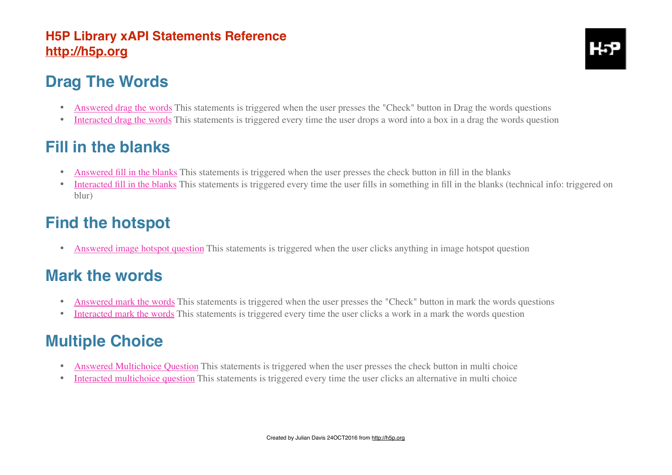## **[Drag The Words](https://h5p.org/node/1396/xapi-coverage)**

- [Answered drag the words](https://h5p.org/node/3414) This statements is triggered when the user presses the "Check" button in Drag the words questions
- [Interacted drag the words](https://h5p.org/node/3410) This statements is triggered every time the user drops a word into a box in a drag the words question

### **[Fill in the blanks](https://h5p.org/node/611/xapi-coverage)**

- [Answered fill in the blanks](https://h5p.org/node/3426) This statements is triggered when the user presses the check button in fill in the blanks
- [Interacted fill in the blanks](https://h5p.org/node/3418) This statements is triggered every time the user fills in something in fill in the blanks (technical info: triggered on blur)

### **[Find the hotspot](https://h5p.org/node/2926/xapi-coverage)**

• [Answered image hotspot question](https://h5p.org/node/3424) This statements is triggered when the user clicks anything in image hotspot question

### **[Mark the words](https://h5p.org/node/1405/xapi-coverage)**

- [Answered mark the words](https://h5p.org/node/3422) This statements is triggered when the user presses the "Check" button in mark the words questions
- [Interacted mark the words](https://h5p.org/node/3416) This statements is triggered every time the user clicks a work in a mark the words question

# **[Multiple Choice](https://h5p.org/node/712/xapi-coverage)**

- [Answered Multichoice Question](https://h5p.org/node/3428) This statements is triggered when the user presses the check button in multi choice
- [Interacted multichoice question](https://h5p.org/node/3419) This statements is triggered every time the user clicks an alternative in multi choice